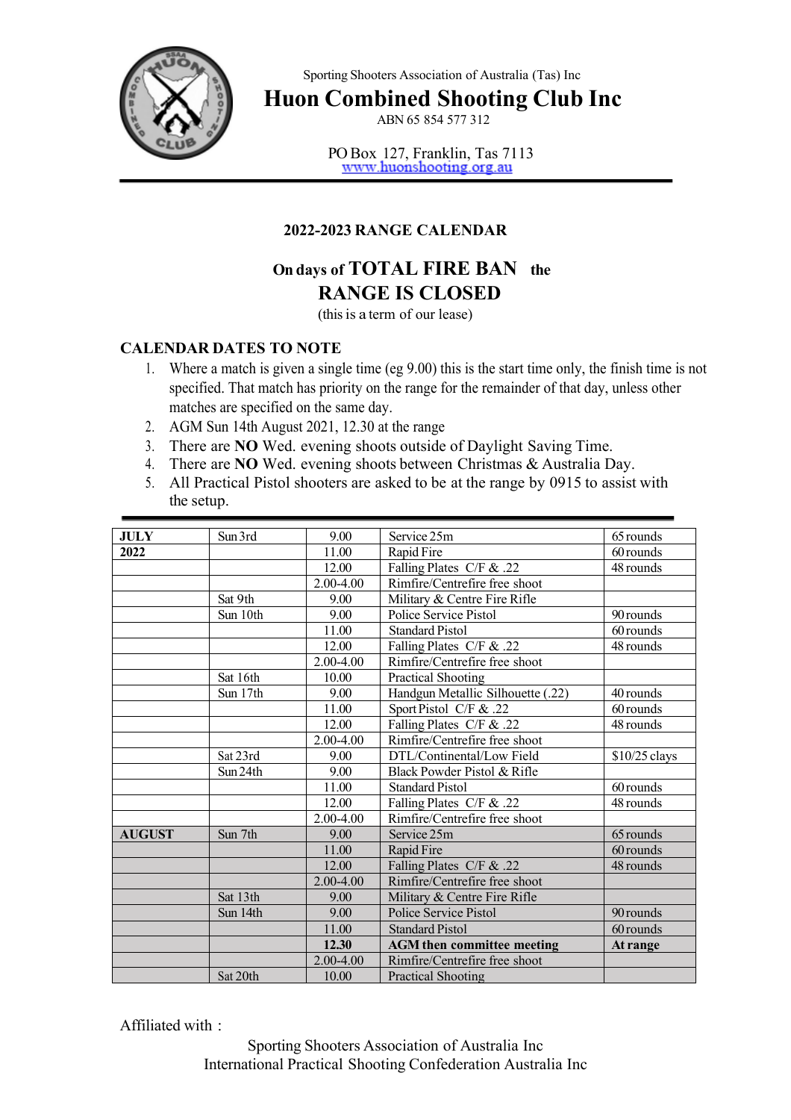

Sporting Shooters Association of Australia (Tas) Inc

**Huon Combined Shooting Club Inc**

ABN 65 854 577 312

PO Box 127, Franklin, Tas 7113<br>www.huonshooting.org.au

## **2022-2023 RANGE CALENDAR**

## **On days of TOTAL FIRE BAN the RANGE IS CLOSED**

(thisis a term of our lease)

## **CALENDAR DATES TO NOTE**

- 1. Where a match is given a single time (eg 9.00) this is the start time only, the finish time is not specified. That match has priority on the range for the remainder of that day, unless other matches are specified on the same day.
- 2. AGM Sun 14th August 2021, 12.30 at the range
- 3. There are **NO** Wed. evening shoots outside of Daylight Saving Time.
- 4. There are **NO** Wed. evening shoots between Christmas & Australia Day.
- 5. All Practical Pistol shooters are asked to be at the range by 0915 to assist with the setup.

| <b>JULY</b>   | Sun 3rd  | 9.00          | Service 25m                       | 65 rounds      |
|---------------|----------|---------------|-----------------------------------|----------------|
| 2022          |          | 11.00         | Rapid Fire                        | 60 rounds      |
|               |          | 12.00         | Falling Plates C/F & .22          | 48 rounds      |
|               |          | 2.00-4.00     | Rimfire/Centrefire free shoot     |                |
|               | Sat 9th  | 9.00          | Military & Centre Fire Rifle      |                |
|               | Sun 10th | 9.00          | Police Service Pistol             | 90 rounds      |
|               |          | 11.00         | <b>Standard Pistol</b>            | 60 rounds      |
|               |          | 12.00         | Falling Plates C/F & .22          | 48 rounds      |
|               |          | 2.00-4.00     | Rimfire/Centrefire free shoot     |                |
|               | Sat 16th | 10.00         | Practical Shooting                |                |
|               | Sun 17th | 9.00          | Handgun Metallic Silhouette (.22) | 40 rounds      |
|               |          | 11.00         | Sport Pistol C/F & .22            | 60 rounds      |
|               |          | 12.00         | Falling Plates C/F & .22          | 48 rounds      |
|               |          | 2.00-4.00     | Rimfire/Centrefire free shoot     |                |
|               | Sat 23rd | 9.00          | DTL/Continental/Low Field         | $$10/25$ clays |
|               | Sun 24th | 9.00          | Black Powder Pistol & Rifle       |                |
|               |          | 11.00         | <b>Standard Pistol</b>            | 60 rounds      |
|               |          | 12.00         | Falling Plates C/F & .22          | 48 rounds      |
|               |          | 2.00-4.00     | Rimfire/Centrefire free shoot     |                |
| <b>AUGUST</b> | Sun 7th  | 9.00          | Service 25m                       | 65 rounds      |
|               |          | 11.00         | Rapid Fire                        | 60 rounds      |
|               |          | 12.00         | Falling Plates C/F & .22          | 48 rounds      |
|               |          | 2.00-4.00     | Rimfire/Centrefire free shoot     |                |
|               | Sat 13th | 9.00          | Military & Centre Fire Rifle      |                |
|               | Sun 14th | 9.00          | Police Service Pistol             | 90 rounds      |
|               |          | 11.00         | <b>Standard Pistol</b>            | 60 rounds      |
|               |          | 12.30         | <b>AGM</b> then committee meeting | At range       |
|               |          | $2.00 - 4.00$ | Rimfire/Centrefire free shoot     |                |
|               | Sat 20th | 10.00         | <b>Practical Shooting</b>         |                |

Affiliated with :

Sporting Shooters Association of Australia Inc International Practical Shooting Confederation Australia Inc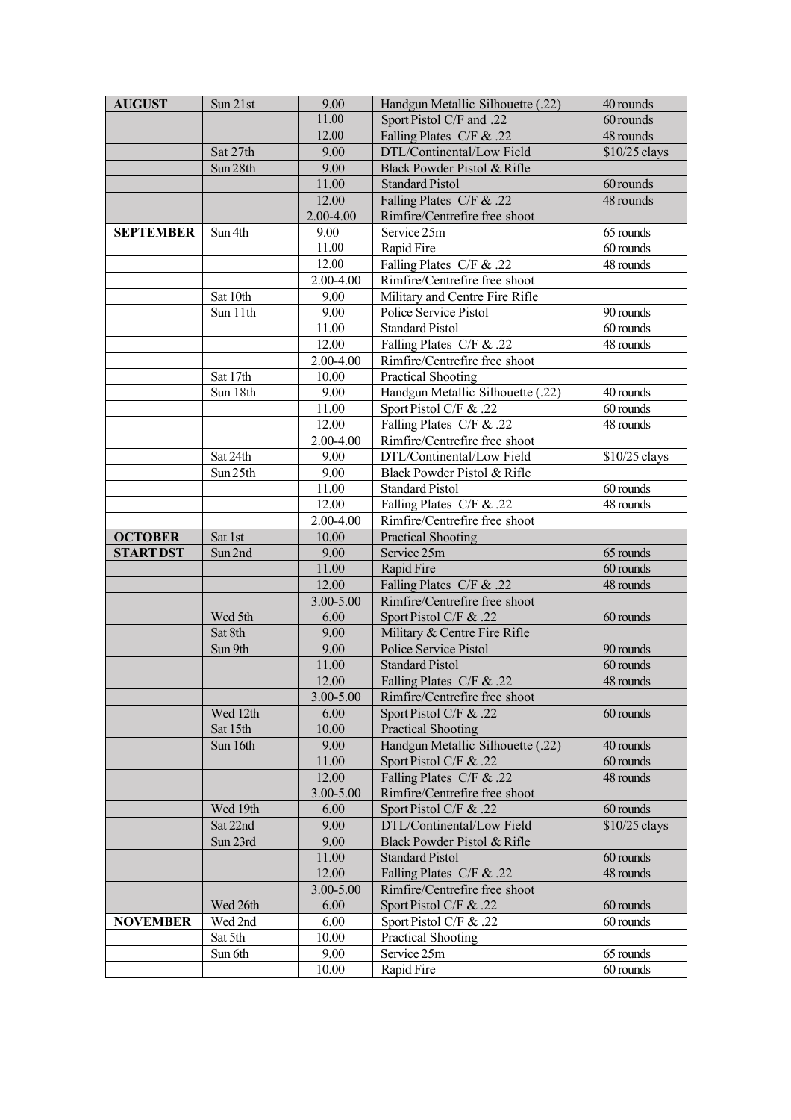| 11.00<br>Sport Pistol C/F and .22<br>60 rounds<br>12.00<br>Falling Plates C/F & .22<br>48 rounds<br>Sat 27th<br>9.00<br>DTL/Continental/Low Field<br>\$10/25 clays<br>9.00<br>Sun 28th<br>Black Powder Pistol & Rifle<br>11.00<br><b>Standard Pistol</b><br>60 rounds<br>12.00<br>48 rounds<br>Falling Plates C/F & .22<br>2.00-4.00<br>Rimfire/Centrefire free shoot<br>Service 25m<br>65 rounds<br><b>SEPTEMBER</b><br>Sun 4th<br>9.00<br>11.00<br>60 rounds<br>Rapid Fire<br>12.00<br>Falling Plates C/F & .22<br>48 rounds<br>Rimfire/Centrefire free shoot<br>2.00-4.00<br>Sat 10th<br>9.00<br>Military and Centre Fire Rifle<br>9.00<br>Sun 11th<br>Police Service Pistol<br>90 rounds<br><b>Standard Pistol</b><br>60 rounds<br>11.00<br>48 rounds<br>12.00<br>Falling Plates C/F & .22<br>2.00-4.00<br>Rimfire/Centrefire free shoot<br>Sat 17th<br>10.00<br>Practical Shooting<br>Handgun Metallic Silhouette (.22)<br>Sun 18th<br>9.00<br>40 rounds<br>11.00<br>60 rounds<br>Sport Pistol C/F & .22<br>12.00<br>Falling Plates C/F & .22<br>$\overline{48}$ rounds<br>2.00-4.00<br>Rimfire/Centrefire free shoot<br>Sat 24th<br>9.00<br>DTL/Continental/Low Field<br>\$10/25 clays<br>9.00<br>Sun 25th<br>Black Powder Pistol & Rifle<br>11.00<br>60 rounds<br><b>Standard Pistol</b><br>Falling Plates C/F & .22<br>48 rounds<br>12.00<br>2.00-4.00<br>Rimfire/Centrefire free shoot<br><b>OCTOBER</b><br>10.00<br><b>Practical Shooting</b><br>Sat 1st<br>Sun 2nd<br>9.00<br>65 rounds<br><b>START DST</b><br>Service 25m<br>11.00<br>60 rounds<br>Rapid Fire<br>Falling Plates C/F & .22<br>12.00<br>48 rounds<br>3.00-5.00<br>Rimfire/Centrefire free shoot<br>Wed 5th<br>6.00<br>Sport Pistol C/F & .22<br>60 rounds<br>Sat 8th<br>9.00<br>Military & Centre Fire Rifle<br>9.00<br>Police Service Pistol<br>90 rounds<br>Sun 9th<br>60 rounds<br>11.00<br><b>Standard Pistol</b><br>48 rounds<br>12.00<br>Falling Plates C/F & .22<br>3.00-5.00<br>Rimfire/Centrefire free shoot<br>Wed 12th<br>60 rounds<br>6.00<br>Sport Pistol C/F & .22<br>10.00<br><b>Practical Shooting</b><br>Sat 15th<br>9.00<br>Handgun Metallic Silhouette (.22)<br>40 rounds<br>Sun 16th<br>60 rounds<br>11.00<br>Sport Pistol C/F & .22<br>48 rounds<br>12.00<br>Falling Plates C/F & .22<br>3.00-5.00<br>Rimfire/Centrefire free shoot<br>6.00<br>Sport Pistol C/F & .22<br>60 rounds<br>Wed 19th<br>Sat 22nd<br>9.00<br>DTL/Continental/Low Field<br>\$10/25 clays<br>Black Powder Pistol & Rifle<br>9.00<br>Sun 23rd<br><b>Standard Pistol</b><br>11.00<br>60 rounds<br>48 rounds<br>12.00<br>Falling Plates C/F & .22<br>Rimfire/Centrefire free shoot<br>3.00-5.00<br>6.00<br>Sport Pistol C/F & .22<br>Wed 26th<br>60 rounds<br>Wed 2nd<br>6.00<br>Sport Pistol C/F & .22<br>60 rounds<br><b>NOVEMBER</b><br>10.00<br><b>Practical Shooting</b><br>Sat 5th<br>9.00<br>Service 25m<br>Sun 6th<br>65 rounds<br>Rapid Fire<br>60 rounds<br>10.00 | <b>AUGUST</b> | Sun 21st | 9.00 | Handgun Metallic Silhouette (.22) | 40 rounds |
|------------------------------------------------------------------------------------------------------------------------------------------------------------------------------------------------------------------------------------------------------------------------------------------------------------------------------------------------------------------------------------------------------------------------------------------------------------------------------------------------------------------------------------------------------------------------------------------------------------------------------------------------------------------------------------------------------------------------------------------------------------------------------------------------------------------------------------------------------------------------------------------------------------------------------------------------------------------------------------------------------------------------------------------------------------------------------------------------------------------------------------------------------------------------------------------------------------------------------------------------------------------------------------------------------------------------------------------------------------------------------------------------------------------------------------------------------------------------------------------------------------------------------------------------------------------------------------------------------------------------------------------------------------------------------------------------------------------------------------------------------------------------------------------------------------------------------------------------------------------------------------------------------------------------------------------------------------------------------------------------------------------------------------------------------------------------------------------------------------------------------------------------------------------------------------------------------------------------------------------------------------------------------------------------------------------------------------------------------------------------------------------------------------------------------------------------------------------------------------------------------------------------------------------------------------------------------------------------------------------------------------------------------------------------------------------------------------------------------------------------------------------------------------------------------------------------------------------------------------------------------------------------------------------------------------------------|---------------|----------|------|-----------------------------------|-----------|
|                                                                                                                                                                                                                                                                                                                                                                                                                                                                                                                                                                                                                                                                                                                                                                                                                                                                                                                                                                                                                                                                                                                                                                                                                                                                                                                                                                                                                                                                                                                                                                                                                                                                                                                                                                                                                                                                                                                                                                                                                                                                                                                                                                                                                                                                                                                                                                                                                                                                                                                                                                                                                                                                                                                                                                                                                                                                                                                                                |               |          |      |                                   |           |
|                                                                                                                                                                                                                                                                                                                                                                                                                                                                                                                                                                                                                                                                                                                                                                                                                                                                                                                                                                                                                                                                                                                                                                                                                                                                                                                                                                                                                                                                                                                                                                                                                                                                                                                                                                                                                                                                                                                                                                                                                                                                                                                                                                                                                                                                                                                                                                                                                                                                                                                                                                                                                                                                                                                                                                                                                                                                                                                                                |               |          |      |                                   |           |
|                                                                                                                                                                                                                                                                                                                                                                                                                                                                                                                                                                                                                                                                                                                                                                                                                                                                                                                                                                                                                                                                                                                                                                                                                                                                                                                                                                                                                                                                                                                                                                                                                                                                                                                                                                                                                                                                                                                                                                                                                                                                                                                                                                                                                                                                                                                                                                                                                                                                                                                                                                                                                                                                                                                                                                                                                                                                                                                                                |               |          |      |                                   |           |
|                                                                                                                                                                                                                                                                                                                                                                                                                                                                                                                                                                                                                                                                                                                                                                                                                                                                                                                                                                                                                                                                                                                                                                                                                                                                                                                                                                                                                                                                                                                                                                                                                                                                                                                                                                                                                                                                                                                                                                                                                                                                                                                                                                                                                                                                                                                                                                                                                                                                                                                                                                                                                                                                                                                                                                                                                                                                                                                                                |               |          |      |                                   |           |
|                                                                                                                                                                                                                                                                                                                                                                                                                                                                                                                                                                                                                                                                                                                                                                                                                                                                                                                                                                                                                                                                                                                                                                                                                                                                                                                                                                                                                                                                                                                                                                                                                                                                                                                                                                                                                                                                                                                                                                                                                                                                                                                                                                                                                                                                                                                                                                                                                                                                                                                                                                                                                                                                                                                                                                                                                                                                                                                                                |               |          |      |                                   |           |
|                                                                                                                                                                                                                                                                                                                                                                                                                                                                                                                                                                                                                                                                                                                                                                                                                                                                                                                                                                                                                                                                                                                                                                                                                                                                                                                                                                                                                                                                                                                                                                                                                                                                                                                                                                                                                                                                                                                                                                                                                                                                                                                                                                                                                                                                                                                                                                                                                                                                                                                                                                                                                                                                                                                                                                                                                                                                                                                                                |               |          |      |                                   |           |
|                                                                                                                                                                                                                                                                                                                                                                                                                                                                                                                                                                                                                                                                                                                                                                                                                                                                                                                                                                                                                                                                                                                                                                                                                                                                                                                                                                                                                                                                                                                                                                                                                                                                                                                                                                                                                                                                                                                                                                                                                                                                                                                                                                                                                                                                                                                                                                                                                                                                                                                                                                                                                                                                                                                                                                                                                                                                                                                                                |               |          |      |                                   |           |
|                                                                                                                                                                                                                                                                                                                                                                                                                                                                                                                                                                                                                                                                                                                                                                                                                                                                                                                                                                                                                                                                                                                                                                                                                                                                                                                                                                                                                                                                                                                                                                                                                                                                                                                                                                                                                                                                                                                                                                                                                                                                                                                                                                                                                                                                                                                                                                                                                                                                                                                                                                                                                                                                                                                                                                                                                                                                                                                                                |               |          |      |                                   |           |
|                                                                                                                                                                                                                                                                                                                                                                                                                                                                                                                                                                                                                                                                                                                                                                                                                                                                                                                                                                                                                                                                                                                                                                                                                                                                                                                                                                                                                                                                                                                                                                                                                                                                                                                                                                                                                                                                                                                                                                                                                                                                                                                                                                                                                                                                                                                                                                                                                                                                                                                                                                                                                                                                                                                                                                                                                                                                                                                                                |               |          |      |                                   |           |
|                                                                                                                                                                                                                                                                                                                                                                                                                                                                                                                                                                                                                                                                                                                                                                                                                                                                                                                                                                                                                                                                                                                                                                                                                                                                                                                                                                                                                                                                                                                                                                                                                                                                                                                                                                                                                                                                                                                                                                                                                                                                                                                                                                                                                                                                                                                                                                                                                                                                                                                                                                                                                                                                                                                                                                                                                                                                                                                                                |               |          |      |                                   |           |
|                                                                                                                                                                                                                                                                                                                                                                                                                                                                                                                                                                                                                                                                                                                                                                                                                                                                                                                                                                                                                                                                                                                                                                                                                                                                                                                                                                                                                                                                                                                                                                                                                                                                                                                                                                                                                                                                                                                                                                                                                                                                                                                                                                                                                                                                                                                                                                                                                                                                                                                                                                                                                                                                                                                                                                                                                                                                                                                                                |               |          |      |                                   |           |
|                                                                                                                                                                                                                                                                                                                                                                                                                                                                                                                                                                                                                                                                                                                                                                                                                                                                                                                                                                                                                                                                                                                                                                                                                                                                                                                                                                                                                                                                                                                                                                                                                                                                                                                                                                                                                                                                                                                                                                                                                                                                                                                                                                                                                                                                                                                                                                                                                                                                                                                                                                                                                                                                                                                                                                                                                                                                                                                                                |               |          |      |                                   |           |
|                                                                                                                                                                                                                                                                                                                                                                                                                                                                                                                                                                                                                                                                                                                                                                                                                                                                                                                                                                                                                                                                                                                                                                                                                                                                                                                                                                                                                                                                                                                                                                                                                                                                                                                                                                                                                                                                                                                                                                                                                                                                                                                                                                                                                                                                                                                                                                                                                                                                                                                                                                                                                                                                                                                                                                                                                                                                                                                                                |               |          |      |                                   |           |
|                                                                                                                                                                                                                                                                                                                                                                                                                                                                                                                                                                                                                                                                                                                                                                                                                                                                                                                                                                                                                                                                                                                                                                                                                                                                                                                                                                                                                                                                                                                                                                                                                                                                                                                                                                                                                                                                                                                                                                                                                                                                                                                                                                                                                                                                                                                                                                                                                                                                                                                                                                                                                                                                                                                                                                                                                                                                                                                                                |               |          |      |                                   |           |
|                                                                                                                                                                                                                                                                                                                                                                                                                                                                                                                                                                                                                                                                                                                                                                                                                                                                                                                                                                                                                                                                                                                                                                                                                                                                                                                                                                                                                                                                                                                                                                                                                                                                                                                                                                                                                                                                                                                                                                                                                                                                                                                                                                                                                                                                                                                                                                                                                                                                                                                                                                                                                                                                                                                                                                                                                                                                                                                                                |               |          |      |                                   |           |
|                                                                                                                                                                                                                                                                                                                                                                                                                                                                                                                                                                                                                                                                                                                                                                                                                                                                                                                                                                                                                                                                                                                                                                                                                                                                                                                                                                                                                                                                                                                                                                                                                                                                                                                                                                                                                                                                                                                                                                                                                                                                                                                                                                                                                                                                                                                                                                                                                                                                                                                                                                                                                                                                                                                                                                                                                                                                                                                                                |               |          |      |                                   |           |
|                                                                                                                                                                                                                                                                                                                                                                                                                                                                                                                                                                                                                                                                                                                                                                                                                                                                                                                                                                                                                                                                                                                                                                                                                                                                                                                                                                                                                                                                                                                                                                                                                                                                                                                                                                                                                                                                                                                                                                                                                                                                                                                                                                                                                                                                                                                                                                                                                                                                                                                                                                                                                                                                                                                                                                                                                                                                                                                                                |               |          |      |                                   |           |
|                                                                                                                                                                                                                                                                                                                                                                                                                                                                                                                                                                                                                                                                                                                                                                                                                                                                                                                                                                                                                                                                                                                                                                                                                                                                                                                                                                                                                                                                                                                                                                                                                                                                                                                                                                                                                                                                                                                                                                                                                                                                                                                                                                                                                                                                                                                                                                                                                                                                                                                                                                                                                                                                                                                                                                                                                                                                                                                                                |               |          |      |                                   |           |
|                                                                                                                                                                                                                                                                                                                                                                                                                                                                                                                                                                                                                                                                                                                                                                                                                                                                                                                                                                                                                                                                                                                                                                                                                                                                                                                                                                                                                                                                                                                                                                                                                                                                                                                                                                                                                                                                                                                                                                                                                                                                                                                                                                                                                                                                                                                                                                                                                                                                                                                                                                                                                                                                                                                                                                                                                                                                                                                                                |               |          |      |                                   |           |
|                                                                                                                                                                                                                                                                                                                                                                                                                                                                                                                                                                                                                                                                                                                                                                                                                                                                                                                                                                                                                                                                                                                                                                                                                                                                                                                                                                                                                                                                                                                                                                                                                                                                                                                                                                                                                                                                                                                                                                                                                                                                                                                                                                                                                                                                                                                                                                                                                                                                                                                                                                                                                                                                                                                                                                                                                                                                                                                                                |               |          |      |                                   |           |
|                                                                                                                                                                                                                                                                                                                                                                                                                                                                                                                                                                                                                                                                                                                                                                                                                                                                                                                                                                                                                                                                                                                                                                                                                                                                                                                                                                                                                                                                                                                                                                                                                                                                                                                                                                                                                                                                                                                                                                                                                                                                                                                                                                                                                                                                                                                                                                                                                                                                                                                                                                                                                                                                                                                                                                                                                                                                                                                                                |               |          |      |                                   |           |
|                                                                                                                                                                                                                                                                                                                                                                                                                                                                                                                                                                                                                                                                                                                                                                                                                                                                                                                                                                                                                                                                                                                                                                                                                                                                                                                                                                                                                                                                                                                                                                                                                                                                                                                                                                                                                                                                                                                                                                                                                                                                                                                                                                                                                                                                                                                                                                                                                                                                                                                                                                                                                                                                                                                                                                                                                                                                                                                                                |               |          |      |                                   |           |
|                                                                                                                                                                                                                                                                                                                                                                                                                                                                                                                                                                                                                                                                                                                                                                                                                                                                                                                                                                                                                                                                                                                                                                                                                                                                                                                                                                                                                                                                                                                                                                                                                                                                                                                                                                                                                                                                                                                                                                                                                                                                                                                                                                                                                                                                                                                                                                                                                                                                                                                                                                                                                                                                                                                                                                                                                                                                                                                                                |               |          |      |                                   |           |
|                                                                                                                                                                                                                                                                                                                                                                                                                                                                                                                                                                                                                                                                                                                                                                                                                                                                                                                                                                                                                                                                                                                                                                                                                                                                                                                                                                                                                                                                                                                                                                                                                                                                                                                                                                                                                                                                                                                                                                                                                                                                                                                                                                                                                                                                                                                                                                                                                                                                                                                                                                                                                                                                                                                                                                                                                                                                                                                                                |               |          |      |                                   |           |
|                                                                                                                                                                                                                                                                                                                                                                                                                                                                                                                                                                                                                                                                                                                                                                                                                                                                                                                                                                                                                                                                                                                                                                                                                                                                                                                                                                                                                                                                                                                                                                                                                                                                                                                                                                                                                                                                                                                                                                                                                                                                                                                                                                                                                                                                                                                                                                                                                                                                                                                                                                                                                                                                                                                                                                                                                                                                                                                                                |               |          |      |                                   |           |
|                                                                                                                                                                                                                                                                                                                                                                                                                                                                                                                                                                                                                                                                                                                                                                                                                                                                                                                                                                                                                                                                                                                                                                                                                                                                                                                                                                                                                                                                                                                                                                                                                                                                                                                                                                                                                                                                                                                                                                                                                                                                                                                                                                                                                                                                                                                                                                                                                                                                                                                                                                                                                                                                                                                                                                                                                                                                                                                                                |               |          |      |                                   |           |
|                                                                                                                                                                                                                                                                                                                                                                                                                                                                                                                                                                                                                                                                                                                                                                                                                                                                                                                                                                                                                                                                                                                                                                                                                                                                                                                                                                                                                                                                                                                                                                                                                                                                                                                                                                                                                                                                                                                                                                                                                                                                                                                                                                                                                                                                                                                                                                                                                                                                                                                                                                                                                                                                                                                                                                                                                                                                                                                                                |               |          |      |                                   |           |
|                                                                                                                                                                                                                                                                                                                                                                                                                                                                                                                                                                                                                                                                                                                                                                                                                                                                                                                                                                                                                                                                                                                                                                                                                                                                                                                                                                                                                                                                                                                                                                                                                                                                                                                                                                                                                                                                                                                                                                                                                                                                                                                                                                                                                                                                                                                                                                                                                                                                                                                                                                                                                                                                                                                                                                                                                                                                                                                                                |               |          |      |                                   |           |
|                                                                                                                                                                                                                                                                                                                                                                                                                                                                                                                                                                                                                                                                                                                                                                                                                                                                                                                                                                                                                                                                                                                                                                                                                                                                                                                                                                                                                                                                                                                                                                                                                                                                                                                                                                                                                                                                                                                                                                                                                                                                                                                                                                                                                                                                                                                                                                                                                                                                                                                                                                                                                                                                                                                                                                                                                                                                                                                                                |               |          |      |                                   |           |
|                                                                                                                                                                                                                                                                                                                                                                                                                                                                                                                                                                                                                                                                                                                                                                                                                                                                                                                                                                                                                                                                                                                                                                                                                                                                                                                                                                                                                                                                                                                                                                                                                                                                                                                                                                                                                                                                                                                                                                                                                                                                                                                                                                                                                                                                                                                                                                                                                                                                                                                                                                                                                                                                                                                                                                                                                                                                                                                                                |               |          |      |                                   |           |
|                                                                                                                                                                                                                                                                                                                                                                                                                                                                                                                                                                                                                                                                                                                                                                                                                                                                                                                                                                                                                                                                                                                                                                                                                                                                                                                                                                                                                                                                                                                                                                                                                                                                                                                                                                                                                                                                                                                                                                                                                                                                                                                                                                                                                                                                                                                                                                                                                                                                                                                                                                                                                                                                                                                                                                                                                                                                                                                                                |               |          |      |                                   |           |
|                                                                                                                                                                                                                                                                                                                                                                                                                                                                                                                                                                                                                                                                                                                                                                                                                                                                                                                                                                                                                                                                                                                                                                                                                                                                                                                                                                                                                                                                                                                                                                                                                                                                                                                                                                                                                                                                                                                                                                                                                                                                                                                                                                                                                                                                                                                                                                                                                                                                                                                                                                                                                                                                                                                                                                                                                                                                                                                                                |               |          |      |                                   |           |
|                                                                                                                                                                                                                                                                                                                                                                                                                                                                                                                                                                                                                                                                                                                                                                                                                                                                                                                                                                                                                                                                                                                                                                                                                                                                                                                                                                                                                                                                                                                                                                                                                                                                                                                                                                                                                                                                                                                                                                                                                                                                                                                                                                                                                                                                                                                                                                                                                                                                                                                                                                                                                                                                                                                                                                                                                                                                                                                                                |               |          |      |                                   |           |
|                                                                                                                                                                                                                                                                                                                                                                                                                                                                                                                                                                                                                                                                                                                                                                                                                                                                                                                                                                                                                                                                                                                                                                                                                                                                                                                                                                                                                                                                                                                                                                                                                                                                                                                                                                                                                                                                                                                                                                                                                                                                                                                                                                                                                                                                                                                                                                                                                                                                                                                                                                                                                                                                                                                                                                                                                                                                                                                                                |               |          |      |                                   |           |
|                                                                                                                                                                                                                                                                                                                                                                                                                                                                                                                                                                                                                                                                                                                                                                                                                                                                                                                                                                                                                                                                                                                                                                                                                                                                                                                                                                                                                                                                                                                                                                                                                                                                                                                                                                                                                                                                                                                                                                                                                                                                                                                                                                                                                                                                                                                                                                                                                                                                                                                                                                                                                                                                                                                                                                                                                                                                                                                                                |               |          |      |                                   |           |
|                                                                                                                                                                                                                                                                                                                                                                                                                                                                                                                                                                                                                                                                                                                                                                                                                                                                                                                                                                                                                                                                                                                                                                                                                                                                                                                                                                                                                                                                                                                                                                                                                                                                                                                                                                                                                                                                                                                                                                                                                                                                                                                                                                                                                                                                                                                                                                                                                                                                                                                                                                                                                                                                                                                                                                                                                                                                                                                                                |               |          |      |                                   |           |
|                                                                                                                                                                                                                                                                                                                                                                                                                                                                                                                                                                                                                                                                                                                                                                                                                                                                                                                                                                                                                                                                                                                                                                                                                                                                                                                                                                                                                                                                                                                                                                                                                                                                                                                                                                                                                                                                                                                                                                                                                                                                                                                                                                                                                                                                                                                                                                                                                                                                                                                                                                                                                                                                                                                                                                                                                                                                                                                                                |               |          |      |                                   |           |
|                                                                                                                                                                                                                                                                                                                                                                                                                                                                                                                                                                                                                                                                                                                                                                                                                                                                                                                                                                                                                                                                                                                                                                                                                                                                                                                                                                                                                                                                                                                                                                                                                                                                                                                                                                                                                                                                                                                                                                                                                                                                                                                                                                                                                                                                                                                                                                                                                                                                                                                                                                                                                                                                                                                                                                                                                                                                                                                                                |               |          |      |                                   |           |
|                                                                                                                                                                                                                                                                                                                                                                                                                                                                                                                                                                                                                                                                                                                                                                                                                                                                                                                                                                                                                                                                                                                                                                                                                                                                                                                                                                                                                                                                                                                                                                                                                                                                                                                                                                                                                                                                                                                                                                                                                                                                                                                                                                                                                                                                                                                                                                                                                                                                                                                                                                                                                                                                                                                                                                                                                                                                                                                                                |               |          |      |                                   |           |
|                                                                                                                                                                                                                                                                                                                                                                                                                                                                                                                                                                                                                                                                                                                                                                                                                                                                                                                                                                                                                                                                                                                                                                                                                                                                                                                                                                                                                                                                                                                                                                                                                                                                                                                                                                                                                                                                                                                                                                                                                                                                                                                                                                                                                                                                                                                                                                                                                                                                                                                                                                                                                                                                                                                                                                                                                                                                                                                                                |               |          |      |                                   |           |
|                                                                                                                                                                                                                                                                                                                                                                                                                                                                                                                                                                                                                                                                                                                                                                                                                                                                                                                                                                                                                                                                                                                                                                                                                                                                                                                                                                                                                                                                                                                                                                                                                                                                                                                                                                                                                                                                                                                                                                                                                                                                                                                                                                                                                                                                                                                                                                                                                                                                                                                                                                                                                                                                                                                                                                                                                                                                                                                                                |               |          |      |                                   |           |
|                                                                                                                                                                                                                                                                                                                                                                                                                                                                                                                                                                                                                                                                                                                                                                                                                                                                                                                                                                                                                                                                                                                                                                                                                                                                                                                                                                                                                                                                                                                                                                                                                                                                                                                                                                                                                                                                                                                                                                                                                                                                                                                                                                                                                                                                                                                                                                                                                                                                                                                                                                                                                                                                                                                                                                                                                                                                                                                                                |               |          |      |                                   |           |
|                                                                                                                                                                                                                                                                                                                                                                                                                                                                                                                                                                                                                                                                                                                                                                                                                                                                                                                                                                                                                                                                                                                                                                                                                                                                                                                                                                                                                                                                                                                                                                                                                                                                                                                                                                                                                                                                                                                                                                                                                                                                                                                                                                                                                                                                                                                                                                                                                                                                                                                                                                                                                                                                                                                                                                                                                                                                                                                                                |               |          |      |                                   |           |
|                                                                                                                                                                                                                                                                                                                                                                                                                                                                                                                                                                                                                                                                                                                                                                                                                                                                                                                                                                                                                                                                                                                                                                                                                                                                                                                                                                                                                                                                                                                                                                                                                                                                                                                                                                                                                                                                                                                                                                                                                                                                                                                                                                                                                                                                                                                                                                                                                                                                                                                                                                                                                                                                                                                                                                                                                                                                                                                                                |               |          |      |                                   |           |
|                                                                                                                                                                                                                                                                                                                                                                                                                                                                                                                                                                                                                                                                                                                                                                                                                                                                                                                                                                                                                                                                                                                                                                                                                                                                                                                                                                                                                                                                                                                                                                                                                                                                                                                                                                                                                                                                                                                                                                                                                                                                                                                                                                                                                                                                                                                                                                                                                                                                                                                                                                                                                                                                                                                                                                                                                                                                                                                                                |               |          |      |                                   |           |
|                                                                                                                                                                                                                                                                                                                                                                                                                                                                                                                                                                                                                                                                                                                                                                                                                                                                                                                                                                                                                                                                                                                                                                                                                                                                                                                                                                                                                                                                                                                                                                                                                                                                                                                                                                                                                                                                                                                                                                                                                                                                                                                                                                                                                                                                                                                                                                                                                                                                                                                                                                                                                                                                                                                                                                                                                                                                                                                                                |               |          |      |                                   |           |
|                                                                                                                                                                                                                                                                                                                                                                                                                                                                                                                                                                                                                                                                                                                                                                                                                                                                                                                                                                                                                                                                                                                                                                                                                                                                                                                                                                                                                                                                                                                                                                                                                                                                                                                                                                                                                                                                                                                                                                                                                                                                                                                                                                                                                                                                                                                                                                                                                                                                                                                                                                                                                                                                                                                                                                                                                                                                                                                                                |               |          |      |                                   |           |
|                                                                                                                                                                                                                                                                                                                                                                                                                                                                                                                                                                                                                                                                                                                                                                                                                                                                                                                                                                                                                                                                                                                                                                                                                                                                                                                                                                                                                                                                                                                                                                                                                                                                                                                                                                                                                                                                                                                                                                                                                                                                                                                                                                                                                                                                                                                                                                                                                                                                                                                                                                                                                                                                                                                                                                                                                                                                                                                                                |               |          |      |                                   |           |
|                                                                                                                                                                                                                                                                                                                                                                                                                                                                                                                                                                                                                                                                                                                                                                                                                                                                                                                                                                                                                                                                                                                                                                                                                                                                                                                                                                                                                                                                                                                                                                                                                                                                                                                                                                                                                                                                                                                                                                                                                                                                                                                                                                                                                                                                                                                                                                                                                                                                                                                                                                                                                                                                                                                                                                                                                                                                                                                                                |               |          |      |                                   |           |
|                                                                                                                                                                                                                                                                                                                                                                                                                                                                                                                                                                                                                                                                                                                                                                                                                                                                                                                                                                                                                                                                                                                                                                                                                                                                                                                                                                                                                                                                                                                                                                                                                                                                                                                                                                                                                                                                                                                                                                                                                                                                                                                                                                                                                                                                                                                                                                                                                                                                                                                                                                                                                                                                                                                                                                                                                                                                                                                                                |               |          |      |                                   |           |
|                                                                                                                                                                                                                                                                                                                                                                                                                                                                                                                                                                                                                                                                                                                                                                                                                                                                                                                                                                                                                                                                                                                                                                                                                                                                                                                                                                                                                                                                                                                                                                                                                                                                                                                                                                                                                                                                                                                                                                                                                                                                                                                                                                                                                                                                                                                                                                                                                                                                                                                                                                                                                                                                                                                                                                                                                                                                                                                                                |               |          |      |                                   |           |
|                                                                                                                                                                                                                                                                                                                                                                                                                                                                                                                                                                                                                                                                                                                                                                                                                                                                                                                                                                                                                                                                                                                                                                                                                                                                                                                                                                                                                                                                                                                                                                                                                                                                                                                                                                                                                                                                                                                                                                                                                                                                                                                                                                                                                                                                                                                                                                                                                                                                                                                                                                                                                                                                                                                                                                                                                                                                                                                                                |               |          |      |                                   |           |
|                                                                                                                                                                                                                                                                                                                                                                                                                                                                                                                                                                                                                                                                                                                                                                                                                                                                                                                                                                                                                                                                                                                                                                                                                                                                                                                                                                                                                                                                                                                                                                                                                                                                                                                                                                                                                                                                                                                                                                                                                                                                                                                                                                                                                                                                                                                                                                                                                                                                                                                                                                                                                                                                                                                                                                                                                                                                                                                                                |               |          |      |                                   |           |
|                                                                                                                                                                                                                                                                                                                                                                                                                                                                                                                                                                                                                                                                                                                                                                                                                                                                                                                                                                                                                                                                                                                                                                                                                                                                                                                                                                                                                                                                                                                                                                                                                                                                                                                                                                                                                                                                                                                                                                                                                                                                                                                                                                                                                                                                                                                                                                                                                                                                                                                                                                                                                                                                                                                                                                                                                                                                                                                                                |               |          |      |                                   |           |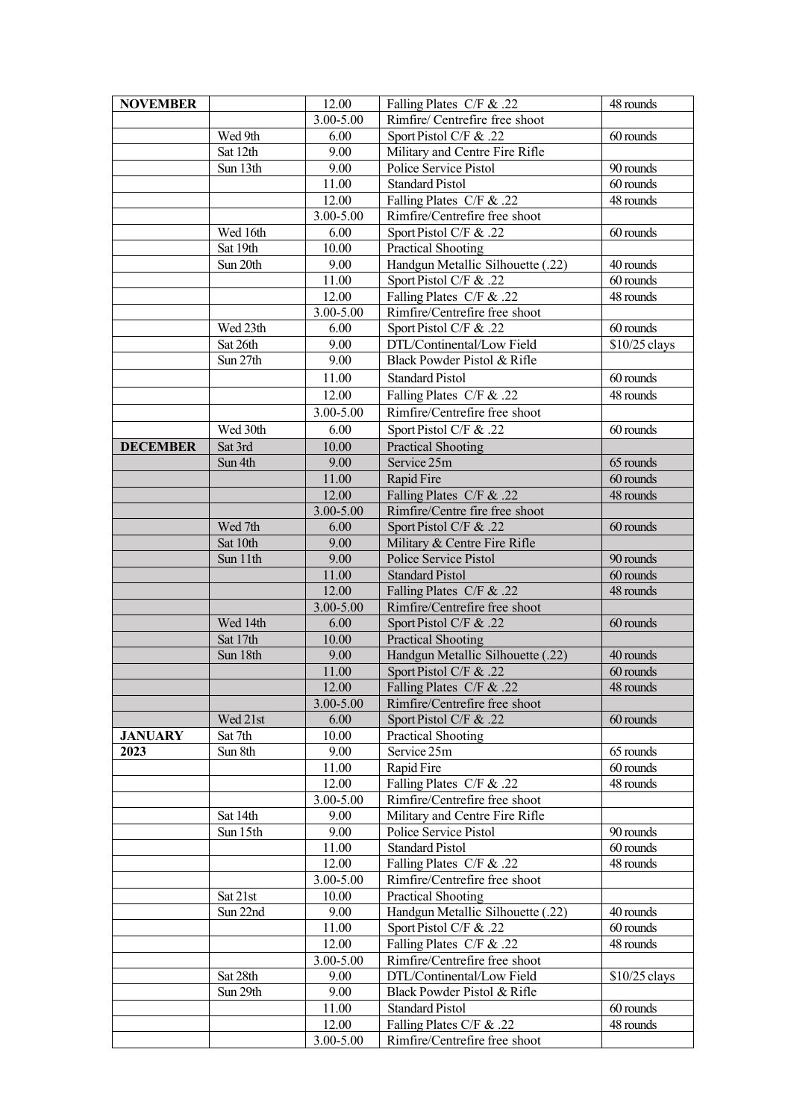| <b>NOVEMBER</b> |          | 12.00     | Falling Plates C/F & .22                 | 48 rounds     |
|-----------------|----------|-----------|------------------------------------------|---------------|
|                 |          | 3.00-5.00 | Rimfire/ Centrefire free shoot           |               |
|                 | Wed 9th  | 6.00      | Sport Pistol C/F & .22                   | 60 rounds     |
|                 | Sat 12th | 9.00      | Military and Centre Fire Rifle           |               |
|                 | Sun 13th | 9.00      | Police Service Pistol                    | 90 rounds     |
|                 |          | 11.00     | Standard Pistol                          | 60 rounds     |
|                 |          | 12.00     | Falling Plates C/F & .22                 | 48 rounds     |
|                 |          | 3.00-5.00 | Rimfire/Centrefire free shoot            |               |
|                 | Wed 16th | 6.00      | Sport Pistol C/F & .22                   | 60 rounds     |
|                 | Sat 19th | 10.00     | <b>Practical Shooting</b>                |               |
|                 | Sun 20th | 9.00      | Handgun Metallic Silhouette (.22)        | 40 rounds     |
|                 |          | 11.00     | Sport Pistol C/F & .22                   | 60 rounds     |
|                 |          | 12.00     | Falling Plates C/F & .22                 | 48 rounds     |
|                 |          | 3.00-5.00 | Rimfire/Centrefire free shoot            |               |
|                 | Wed 23th | 6.00      | Sport Pistol C/F & .22                   | 60 rounds     |
|                 | Sat 26th | 9.00      | DTL/Continental/Low Field                | \$10/25 clays |
|                 | Sun 27th | 9.00      | Black Powder Pistol & Rifle              |               |
|                 |          | 11.00     | <b>Standard Pistol</b>                   | 60 rounds     |
|                 |          | 12.00     | Falling Plates C/F & .22                 | 48 rounds     |
|                 |          | 3.00-5.00 | Rimfire/Centrefire free shoot            |               |
|                 | Wed 30th | 6.00      | Sport Pistol C/F & .22                   | 60 rounds     |
|                 |          | 10.00     |                                          |               |
| <b>DECEMBER</b> | Sat 3rd  | 9.00      | <b>Practical Shooting</b><br>Service 25m | 65 rounds     |
|                 | Sun 4th  |           |                                          |               |
|                 |          | 11.00     | Rapid Fire                               | 60 rounds     |
|                 |          | 12.00     | Falling Plates C/F & .22                 | 48 rounds     |
|                 |          | 3.00-5.00 | Rimfire/Centre fire free shoot           |               |
|                 | Wed 7th  | 6.00      | Sport Pistol C/F & .22                   | 60 rounds     |
|                 | Sat 10th | 9.00      | Military & Centre Fire Rifle             |               |
|                 | Sun 11th | 9.00      | Police Service Pistol                    | 90 rounds     |
|                 |          | 11.00     | <b>Standard Pistol</b>                   | 60 rounds     |
|                 |          | 12.00     | Falling Plates C/F & .22                 | 48 rounds     |
|                 |          | 3.00-5.00 | Rimfire/Centrefire free shoot            |               |
|                 | Wed 14th | 6.00      | Sport Pistol C/F & .22                   | 60 rounds     |
|                 | Sat 17th | 10.00     | <b>Practical Shooting</b>                |               |
|                 | Sun 18th | 9.00      | Handgun Metallic Silhouette (.22)        | 40 rounds     |
|                 |          | 11.00     | Sport Pistol C/F & .22                   | 60 rounds     |
|                 |          | 12.00     | Falling Plates C/F & .22                 | 48 rounds     |
|                 |          | 3.00-5.00 | Rimfire/Centrefire free shoot            |               |
|                 | Wed 21st | 6.00      | Sport Pistol C/F & .22                   | 60 rounds     |
| <b>JANUARY</b>  | Sat 7th  | 10.00     | Practical Shooting                       |               |
| 2023            | Sun 8th  | 9.00      | Service 25m                              | 65 rounds     |
|                 |          | 11.00     | Rapid Fire                               | 60 rounds     |
|                 |          | 12.00     | Falling Plates C/F & .22                 | 48 rounds     |
|                 |          | 3.00-5.00 | Rimfire/Centrefire free shoot            |               |
|                 | Sat 14th | 9.00      | Military and Centre Fire Rifle           |               |
|                 | Sun 15th | 9.00      | Police Service Pistol                    | 90 rounds     |
|                 |          | 11.00     | <b>Standard Pistol</b>                   | 60 rounds     |
|                 |          | 12.00     | Falling Plates C/F & .22                 | 48 rounds     |
|                 |          | 3.00-5.00 | Rimfire/Centrefire free shoot            |               |
|                 | Sat 21st | 10.00     | Practical Shooting                       |               |
|                 | Sun 22nd | 9.00      | Handgun Metallic Silhouette (.22)        | 40 rounds     |
|                 |          | 11.00     | Sport Pistol C/F & .22                   | 60 rounds     |
|                 |          | 12.00     | Falling Plates C/F & .22                 | 48 rounds     |
|                 |          | 3.00-5.00 | Rimfire/Centrefire free shoot            |               |
|                 | Sat 28th | 9.00      | DTL/Continental/Low Field                | \$10/25 clays |
|                 | Sun 29th | 9.00      | Black Powder Pistol & Rifle              |               |
|                 |          | 11.00     | <b>Standard Pistol</b>                   | 60 rounds     |
|                 |          | 12.00     | Falling Plates C/F & .22                 | 48 rounds     |
|                 |          | 3.00-5.00 | Rimfire/Centrefire free shoot            |               |
|                 |          |           |                                          |               |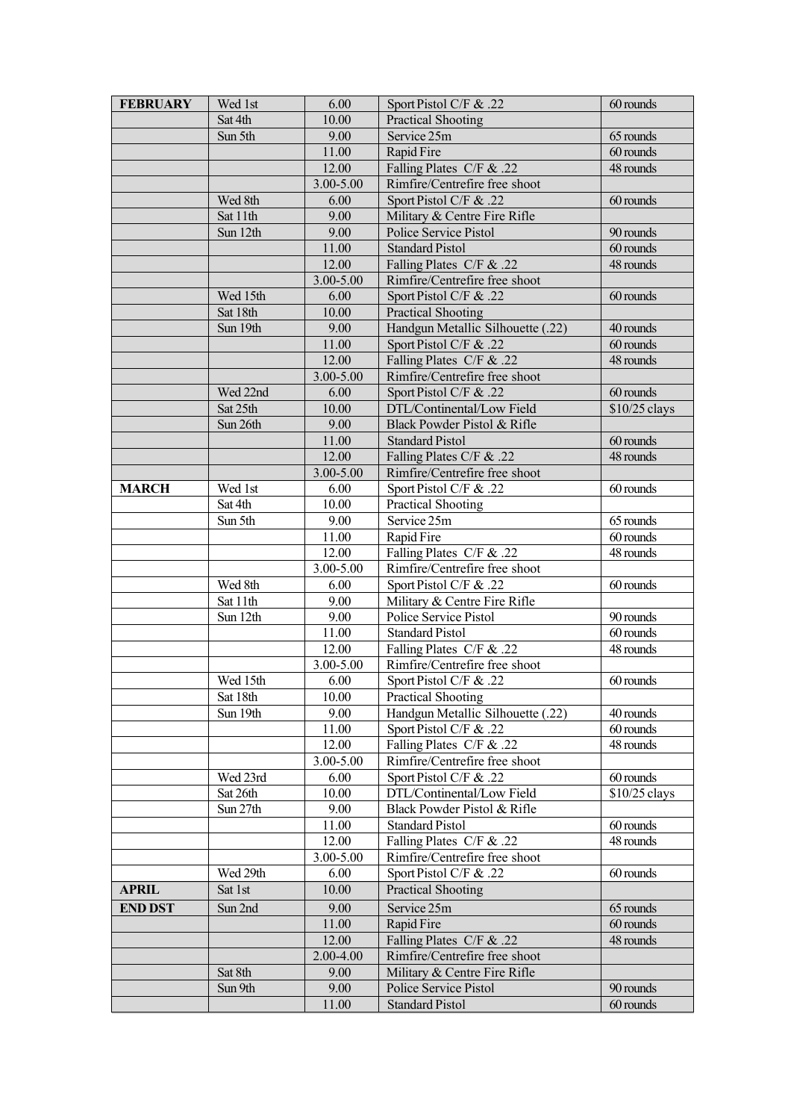| <b>FEBRUARY</b> | Wed 1st            | 6.00      | Sport Pistol C/F & .22            | 60 rounds              |
|-----------------|--------------------|-----------|-----------------------------------|------------------------|
|                 | Sat 4th            | 10.00     | <b>Practical Shooting</b>         |                        |
|                 | Sun 5th            | 9.00      | Service 25m                       | 65 rounds              |
|                 |                    | 11.00     | Rapid Fire                        | 60 rounds              |
|                 |                    | 12.00     | Falling Plates C/F & .22          | $\overline{48}$ rounds |
|                 |                    | 3.00-5.00 | Rimfire/Centrefire free shoot     |                        |
|                 | Wed 8th            | 6.00      | Sport Pistol C/F & .22            | 60 rounds              |
|                 | Sat 11th           | 9.00      | Military & Centre Fire Rifle      |                        |
|                 | Sun 12th           | 9.00      | Police Service Pistol             | 90 rounds              |
|                 |                    | 11.00     | <b>Standard Pistol</b>            | 60 rounds              |
|                 |                    | 12.00     | Falling Plates C/F & .22          | 48 rounds              |
|                 |                    | 3.00-5.00 | Rimfire/Centrefire free shoot     |                        |
|                 | Wed 15th           | 6.00      | Sport Pistol C/F & .22            | 60 rounds              |
|                 | Sat 18th           | 10.00     | <b>Practical Shooting</b>         |                        |
|                 | Sun 19th           | 9.00      | Handgun Metallic Silhouette (.22) | 40 rounds              |
|                 |                    | 11.00     | Sport Pistol C/F & .22            | 60 rounds              |
|                 |                    | 12.00     | Falling Plates C/F & .22          | 48 rounds              |
|                 |                    | 3.00-5.00 | Rimfire/Centrefire free shoot     |                        |
|                 | Wed 22nd           | 6.00      | Sport Pistol C/F & .22            | 60 rounds              |
|                 | Sat 25th           | 10.00     | DTL/Continental/Low Field         | \$10/25 clays          |
|                 | Sun 26th           | 9.00      | Black Powder Pistol & Rifle       |                        |
|                 |                    | 11.00     | <b>Standard Pistol</b>            | 60 rounds              |
|                 |                    | 12.00     | Falling Plates C/F & .22          | 48 rounds              |
|                 |                    | 3.00-5.00 | Rimfire/Centrefire free shoot     |                        |
|                 |                    | 6.00      | Sport Pistol C/F & .22            | 60 rounds              |
| <b>MARCH</b>    | Wed 1st<br>Sat 4th | 10.00     |                                   |                        |
|                 | Sun 5th            | 9.00      | Practical Shooting<br>Service 25m | 65 rounds              |
|                 |                    |           |                                   |                        |
|                 |                    | 11.00     | Rapid Fire                        | 60 rounds              |
|                 |                    | 12.00     | Falling Plates C/F & .22          | 48 rounds              |
|                 |                    | 3.00-5.00 | Rimfire/Centrefire free shoot     |                        |
|                 | Wed 8th            | 6.00      | Sport Pistol C/F & .22            | 60 rounds              |
|                 | Sat 11th           | 9.00      | Military & Centre Fire Rifle      |                        |
|                 | Sun 12th           | 9.00      | Police Service Pistol             | 90 rounds              |
|                 |                    | 11.00     | <b>Standard Pistol</b>            | 60 rounds              |
|                 |                    | 12.00     | Falling Plates C/F & .22          | 48 rounds              |
|                 |                    | 3.00-5.00 | Rimfire/Centrefire free shoot     |                        |
|                 | Wed 15th           | 6.00      | Sport Pistol C/F & .22            | 60 rounds              |
|                 | Sat 18th           | 10.00     | Practical Shooting                |                        |
|                 | Sun 19th           | 9.00      | Handgun Metallic Silhouette (.22) | 40 rounds              |
|                 |                    | 11.00     | Sport Pistol C/F & .22            | 60 rounds              |
|                 |                    | 12.00     | Falling Plates C/F & .22          | 48 rounds              |
|                 |                    | 3.00-5.00 | Rimfire/Centrefire free shoot     |                        |
|                 | Wed 23rd           | 6.00      | Sport Pistol C/F & .22            | 60 rounds              |
|                 | Sat 26th           | 10.00     | DTL/Continental/Low Field         | \$10/25 clays          |
|                 | Sun 27th           | 9.00      | Black Powder Pistol & Rifle       |                        |
|                 |                    | 11.00     | <b>Standard Pistol</b>            | 60 rounds              |
|                 |                    | 12.00     | Falling Plates C/F & .22          | 48 rounds              |
|                 |                    | 3.00-5.00 | Rimfire/Centrefire free shoot     |                        |
|                 | Wed 29th           | 6.00      | Sport Pistol C/F & .22            | 60 rounds              |
| <b>APRIL</b>    | Sat 1st            | 10.00     | <b>Practical Shooting</b>         |                        |
| <b>END DST</b>  | Sun 2nd            | 9.00      | Service 25m                       | 65 rounds              |
|                 |                    | 11.00     | Rapid Fire                        | 60 rounds              |
|                 |                    | 12.00     | Falling Plates C/F & .22          | 48 rounds              |
|                 |                    | 2.00-4.00 | Rimfire/Centrefire free shoot     |                        |
|                 | Sat 8th            | 9.00      | Military & Centre Fire Rifle      |                        |
|                 | Sun 9th            | 9.00      | Police Service Pistol             | 90 rounds              |
|                 |                    | 11.00     | <b>Standard Pistol</b>            | 60 rounds              |
|                 |                    |           |                                   |                        |